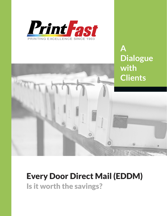

**A Dialogue with Clients**

# Every Door Direct Mail (EDDM) Is it worth the savings?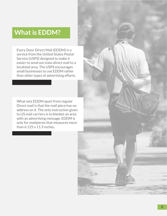## **What is EDDM?**

Every Door Direct Mail (EDDM) is a service from the United States Postal Service (USPS) designed to make it easier to send out mass direct mail to a localized area. The USPS encourages small businesses to use EDDM rather than other types of advertising efforts.

What sets EDDM apart from regular Direct mail is that the mail piece has no address on it. The only instruction given to US mail carriers is to blanket an area with an advertising message. EDDM is only for mailpieces that measures more than 6.125 x 11.5 inches.

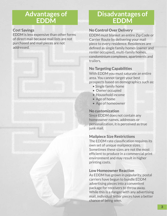### **Advantages of EDDM**

#### **Cost Savings**

EDDM is less expensive than other forms of direct mail because mail lists are not purchased and mail pieces are not addressed.

### **Disadvantages of EDDM**

#### **No Control Over Delivery**

EDDM must blanket an entire Zip Code or Carrier Route by delivering your mail piece to every residence. Residences are defined as single family homes (owner and renter occupied), multi-family homes, condominium complexes, apartments and trailers.

#### **No Targeting Capabilities**

With EDDM you must saturate an entire area. You cannot target your best prospects based on demographics such as:

- Single family home
- Owner occupied
- Household income
- Age of home
- Age of homeowner

#### **No customization**

Since EDDM does not contain any homeowner names, addresses or personalization, it is perceived as true junk mail.

#### **Mailpiece Size Restrictions**

The EDDM rate classification requires its own set of unique mailpiece sizes. Sometimes these sizes are not the most efficient to produce in a commercial print environment and may result in higher printing costs.

#### **Low Homeowner Reaction**

As EDDM has grown in popularity, postal carriers have begun to bundle EDDM advertising pieces into a convenient package for receivers to throw away. While this is a danger with any advertising mail, individual letter pieces have a better chance of being seen.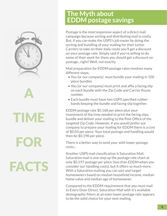



TIME

FOR **FACTS** 

### **The Myth about EDDM postage savings**

Postage is the most expensive aspect of a direct mail campaign because sorting and distributing mail is costly. But, if you can make the USPS's job easier by doing the sorting and bundling of your mailing for their Letter Carriers to take on their daily route you'll get a discount on your postage rate. Simply said if you're willing to do some of their work for them you should get a discount on postage...right? Well, not exactly.

Mail preparation for EDDM postage rates involves many different steps:

- You (or our company) must bundle your mailing in 100 piece bundles
- You (or our company) must print and affix a facing slip on each bundle with the Zip Code and Carrier Route number.
- Each bundle must have two USPS specified rubber bands keeping the bundle and facing slip together.

EDDM postage rate \$0.168 per piece plus your investment of the time needed to print the facing slips, bundle and deliver your mailing to the Post Office of the targeted Zip Code. However, if you would prefer our company to prepare your mailing for EDDM there is a cost of \$0.03 per piece. Your total postage and handling would then be \$0.198 per piece.

There is a better way to send your with lower postage costs...

Another USPS mail classification is Saturation Mail. Saturation mail is one step up the postage rate chart at only \$0.197 postage per piece (less than EDDM when you consider our handling costs), but it offers so much more. With a Saturation mailing you can sort and target homeowners based on median household income, median home value and median age of homeowner.

Compared to the EDDM requirement that you must mail to Every Door Direct, Saturation Mail with it's available demographic filters at an even lower postage rate appears to be the solid choice for your next mailing.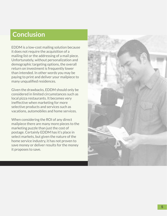# **Conclusion**

EDDM is a low-cost mailing solution because it does not require the acquisition of a mailing list or the addressing of a mail piece. Unfortunately, without personalization and demographic targeting options, the overall return on investment is frequently lower than intended. In other words you may be paying to print and deliver your mailpiece to many unqualified residences.

Given the drawbacks, EDDM should only be considered in limited circumstances such as local pizza restaurants. It becomes very ineffective when marketing for more selective products and services such as vacations, automobiles and home services.

When considering the ROI of any direct mailpiece there are many more pieces to the marketing puzzle than just the cost of postage. Certainly EDDM has it's place in select markets, but given the nature of the home service industry, it has not proven to save money or deliver results for the money it proposes to save.